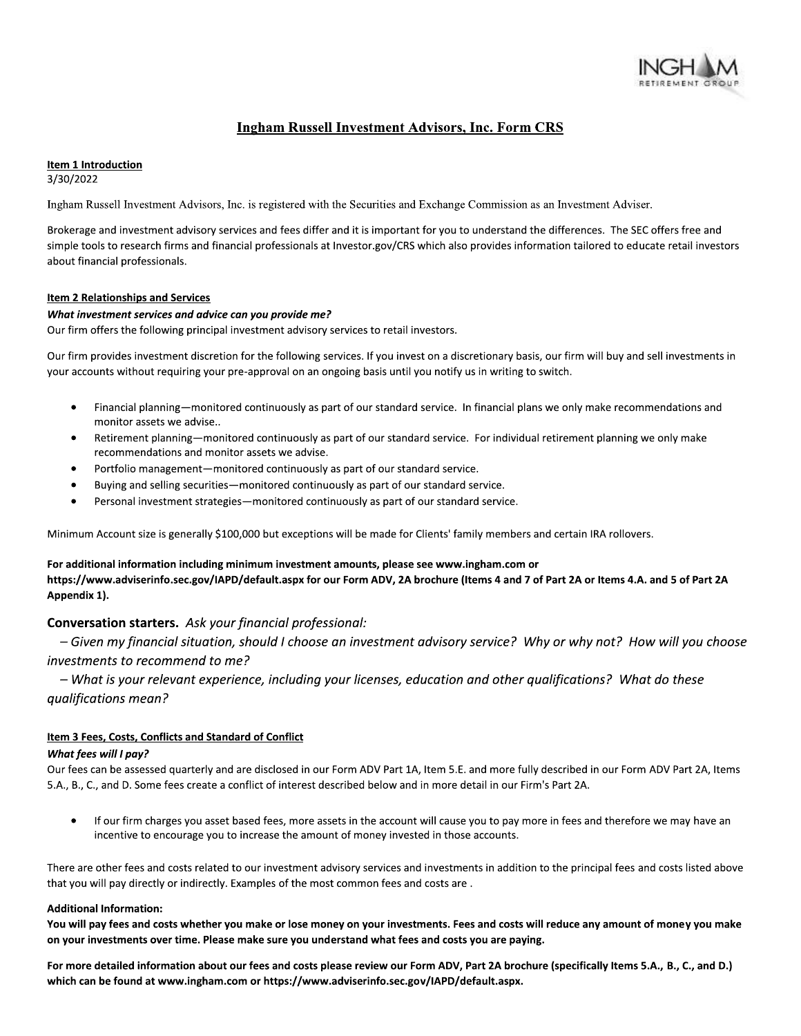

# **Ingham Russell Investment Advisors, Inc. Form CRS**

### Item 1 Introduction

3/30/2022

Ingham Russell Investment Advisors, Inc. is registered with the Securities and Exchange Commission as an Investment Adviser.

Brokerage and investment advisory services and fees differ and it is important for you to understand the differences. The SEC offers free and simple tools to research firms and financial professionals at Investor.gov/CRS which also provides information tailored to educate retail investors about financial professionals.

### Item 2 Relationships and Services

### What investment services and advice can you provide me?

Our firm offers the following principal investment advisory services to retail investors.

Our firm provides investment discretion for the following services. If you invest on a discretionary basis, our firm will buy and sell investments in your accounts without requiring your pre-approval on an ongoing basis until you notify us in writing to switch.

- Financial planning—monitored continuously as part of our standard service. In financial plans we only make recommendations and monitor assets we advise..
- Retirement planning—monitored continuously as part of our standard service. For individual retirement planning we only make recommendations and monitor assets we advise.
- Portfolio management-monitored continuously as part of our standard service.
- Buying and selling securities—monitored continuously as part of our standard service.
- Personal investment strategies-monitored continuously as part of our standard service.

Minimum Account size is generally \$100,000 but exceptions will be made for Clients' family members and certain IRA rollovers.

### For additional information including minimum investment amounts, please see www.ingham.com or

https://www.adviserinfo.sec.gov/IAPD/default.aspx for our Form ADV, 2A brochure (Items 4 and 7 of Part 2A or Items 4.A. and 5 of Part 2A Appendix 1).

# Conversation starters. Ask your financial professional:

- Given my financial situation, should I choose an investment advisory service? Why or why not? How will you choose investments to recommend to me?

- What is your relevant experience, including your licenses, education and other qualifications? What do these qualifications mean?

## Item 3 Fees, Costs, Conflicts and Standard of Conflict

### What fees will I pay?

Our fees can be assessed quarterly and are disclosed in our Form ADV Part 1A, Item 5.E. and more fully described in our Form ADV Part 2A, Items 5.A., B., C., and D. Some fees create a conflict of interest described below and in more detail in our Firm's Part 2A.

If our firm charges you asset based fees, more assets in the account will cause you to pay more in fees and therefore we may have an incentive to encourage you to increase the amount of money invested in those accounts.

There are other fees and costs related to our investment advisory services and investments in addition to the principal fees and costs listed above that you will pay directly or indirectly. Examples of the most common fees and costs are.

### **Additional Information:**

You will pay fees and costs whether you make or lose money on your investments. Fees and costs will reduce any amount of money you make on your investments over time. Please make sure you understand what fees and costs you are paying.

For more detailed information about our fees and costs please review our Form ADV, Part 2A brochure (specifically Items 5.A., B., C., and D.) which can be found at www.ingham.com or https://www.adviserinfo.sec.gov/IAPD/default.aspx.